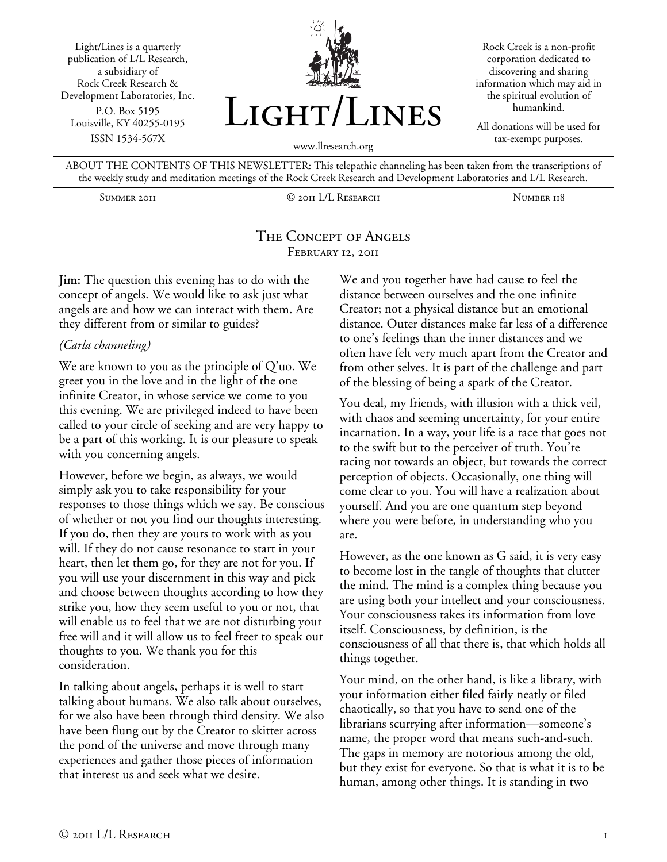Light/Lines is a quarterly publication of L/L Research, a subsidiary of Rock Creek Research & Development Laboratories, Inc. P.O. Box 5195 Louisville, KY 40255-0195 ISSN 1534-567X



Rock Creek is a non-profit corporation dedicated to discovering and sharing information which may aid in the spiritual evolution of humankind.

All donations will be used for tax-exempt purposes.

ABOUT THE CONTENTS OF THIS NEWSLETTER: This telepathic channeling has been taken from the transcriptions of the weekly study and meditation meetings of the Rock Creek Research and Development Laboratories and L/L Research.

Summer 2011 © 2011 L/L Research Number 118

### The Concept of Angels FEBRUARY 12, 2011

**Jim:** The question this evening has to do with the concept of angels. We would like to ask just what angels are and how we can interact with them. Are they different from or similar to guides?

### *(Carla channeling)*

We are known to you as the principle of Q'uo. We greet you in the love and in the light of the one infinite Creator, in whose service we come to you this evening. We are privileged indeed to have been called to your circle of seeking and are very happy to be a part of this working. It is our pleasure to speak with you concerning angels.

However, before we begin, as always, we would simply ask you to take responsibility for your responses to those things which we say. Be conscious of whether or not you find our thoughts interesting. If you do, then they are yours to work with as you will. If they do not cause resonance to start in your heart, then let them go, for they are not for you. If you will use your discernment in this way and pick and choose between thoughts according to how they strike you, how they seem useful to you or not, that will enable us to feel that we are not disturbing your free will and it will allow us to feel freer to speak our thoughts to you. We thank you for this consideration.

In talking about angels, perhaps it is well to start talking about humans. We also talk about ourselves, for we also have been through third density. We also have been flung out by the Creator to skitter across the pond of the universe and move through many experiences and gather those pieces of information that interest us and seek what we desire.

We and you together have had cause to feel the distance between ourselves and the one infinite Creator; not a physical distance but an emotional distance. Outer distances make far less of a difference to one's feelings than the inner distances and we often have felt very much apart from the Creator and from other selves. It is part of the challenge and part of the blessing of being a spark of the Creator.

You deal, my friends, with illusion with a thick veil, with chaos and seeming uncertainty, for your entire incarnation. In a way, your life is a race that goes not to the swift but to the perceiver of truth. You're racing not towards an object, but towards the correct perception of objects. Occasionally, one thing will come clear to you. You will have a realization about yourself. And you are one quantum step beyond where you were before, in understanding who you are.

However, as the one known as G said, it is very easy to become lost in the tangle of thoughts that clutter the mind. The mind is a complex thing because you are using both your intellect and your consciousness. Your consciousness takes its information from love itself. Consciousness, by definition, is the consciousness of all that there is, that which holds all things together.

Your mind, on the other hand, is like a library, with your information either filed fairly neatly or filed chaotically, so that you have to send one of the librarians scurrying after information—someone's name, the proper word that means such-and-such. The gaps in memory are notorious among the old, but they exist for everyone. So that is what it is to be human, among other things. It is standing in two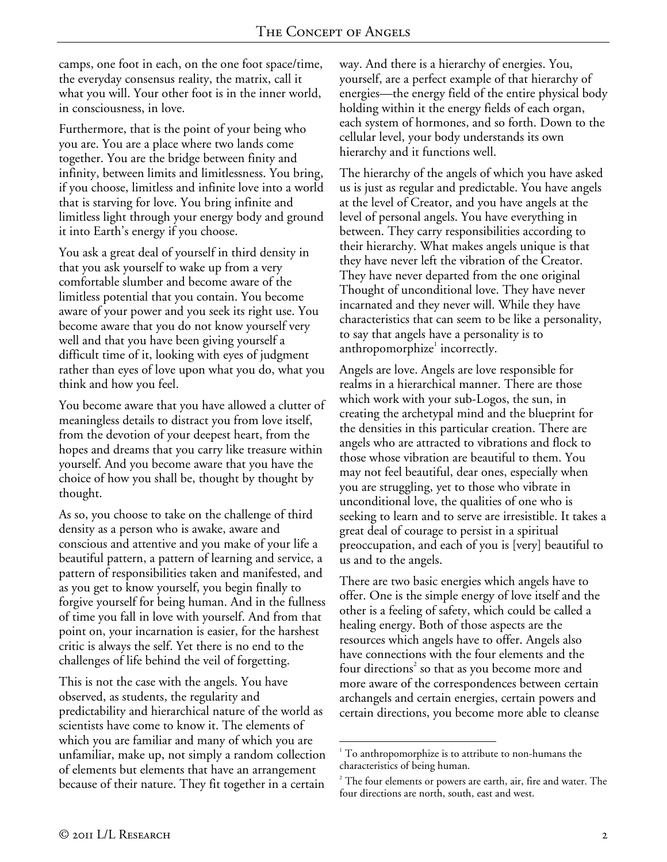camps, one foot in each, on the one foot space/time, the everyday consensus reality, the matrix, call it what you will. Your other foot is in the inner world, in consciousness, in love.

Furthermore, that is the point of your being who you are. You are a place where two lands come together. You are the bridge between finity and infinity, between limits and limitlessness. You bring, if you choose, limitless and infinite love into a world that is starving for love. You bring infinite and limitless light through your energy body and ground it into Earth's energy if you choose.

You ask a great deal of yourself in third density in that you ask yourself to wake up from a very comfortable slumber and become aware of the limitless potential that you contain. You become aware of your power and you seek its right use. You become aware that you do not know yourself very well and that you have been giving yourself a difficult time of it, looking with eyes of judgment rather than eyes of love upon what you do, what you think and how you feel.

You become aware that you have allowed a clutter of meaningless details to distract you from love itself, from the devotion of your deepest heart, from the hopes and dreams that you carry like treasure within yourself. And you become aware that you have the choice of how you shall be, thought by thought by thought.

As so, you choose to take on the challenge of third density as a person who is awake, aware and conscious and attentive and you make of your life a beautiful pattern, a pattern of learning and service, a pattern of responsibilities taken and manifested, and as you get to know yourself, you begin finally to forgive yourself for being human. And in the fullness of time you fall in love with yourself. And from that point on, your incarnation is easier, for the harshest critic is always the self. Yet there is no end to the challenges of life behind the veil of forgetting.

This is not the case with the angels. You have observed, as students, the regularity and predictability and hierarchical nature of the world as scientists have come to know it. The elements of which you are familiar and many of which you are unfamiliar, make up, not simply a random collection of elements but elements that have an arrangement because of their nature. They fit together in a certain

way. And there is a hierarchy of energies. You, yourself, are a perfect example of that hierarchy of energies—the energy field of the entire physical body holding within it the energy fields of each organ, each system of hormones, and so forth. Down to the cellular level, your body understands its own hierarchy and it functions well.

The hierarchy of the angels of which you have asked us is just as regular and predictable. You have angels at the level of Creator, and you have angels at the level of personal angels. You have everything in between. They carry responsibilities according to their hierarchy. What makes angels unique is that they have never left the vibration of the Creator. They have never departed from the one original Thought of unconditional love. They have never incarnated and they never will. While they have characteristics that can seem to be like a personality, to say that angels have a personality is to anthropomorphize $^1$  incorrectly.

Angels are love. Angels are love responsible for realms in a hierarchical manner. There are those which work with your sub-Logos, the sun, in creating the archetypal mind and the blueprint for the densities in this particular creation. There are angels who are attracted to vibrations and flock to those whose vibration are beautiful to them. You may not feel beautiful, dear ones, especially when you are struggling, yet to those who vibrate in unconditional love, the qualities of one who is seeking to learn and to serve are irresistible. It takes a great deal of courage to persist in a spiritual preoccupation, and each of you is [very] beautiful to us and to the angels.

There are two basic energies which angels have to offer. One is the simple energy of love itself and the other is a feeling of safety, which could be called a healing energy. Both of those aspects are the resources which angels have to offer. Angels also have connections with the four elements and the four directions<sup>2</sup> so that as you become more and more aware of the correspondences between certain archangels and certain energies, certain powers and certain directions, you become more able to cleanse

 $\overline{a}$ 

<sup>&</sup>lt;sup>1</sup> To anthropomorphize is to attribute to non-humans the characteristics of being human.

 $2^2$  The four elements or powers are earth, air, fire and water. The four directions are north, south, east and west.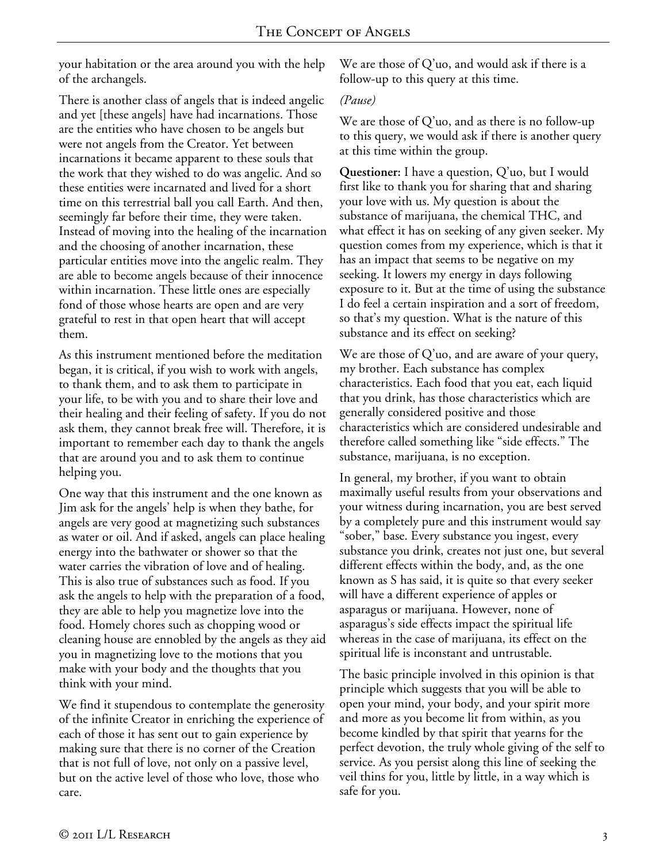your habitation or the area around you with the help of the archangels.

There is another class of angels that is indeed angelic and yet [these angels] have had incarnations. Those are the entities who have chosen to be angels but were not angels from the Creator. Yet between incarnations it became apparent to these souls that the work that they wished to do was angelic. And so these entities were incarnated and lived for a short time on this terrestrial ball you call Earth. And then, seemingly far before their time, they were taken. Instead of moving into the healing of the incarnation and the choosing of another incarnation, these particular entities move into the angelic realm. They are able to become angels because of their innocence within incarnation. These little ones are especially fond of those whose hearts are open and are very grateful to rest in that open heart that will accept them.

As this instrument mentioned before the meditation began, it is critical, if you wish to work with angels, to thank them, and to ask them to participate in your life, to be with you and to share their love and their healing and their feeling of safety. If you do not ask them, they cannot break free will. Therefore, it is important to remember each day to thank the angels that are around you and to ask them to continue helping you.

One way that this instrument and the one known as Jim ask for the angels' help is when they bathe, for angels are very good at magnetizing such substances as water or oil. And if asked, angels can place healing energy into the bathwater or shower so that the water carries the vibration of love and of healing. This is also true of substances such as food. If you ask the angels to help with the preparation of a food, they are able to help you magnetize love into the food. Homely chores such as chopping wood or cleaning house are ennobled by the angels as they aid you in magnetizing love to the motions that you make with your body and the thoughts that you think with your mind.

We find it stupendous to contemplate the generosity of the infinite Creator in enriching the experience of each of those it has sent out to gain experience by making sure that there is no corner of the Creation that is not full of love, not only on a passive level, but on the active level of those who love, those who care.

We are those of Q'uo, and would ask if there is a follow-up to this query at this time.

### *(Pause)*

We are those of Q'uo, and as there is no follow-up to this query, we would ask if there is another query at this time within the group.

**Questioner:** I have a question, Q'uo, but I would first like to thank you for sharing that and sharing your love with us. My question is about the substance of marijuana, the chemical THC, and what effect it has on seeking of any given seeker. My question comes from my experience, which is that it has an impact that seems to be negative on my seeking. It lowers my energy in days following exposure to it. But at the time of using the substance I do feel a certain inspiration and a sort of freedom, so that's my question. What is the nature of this substance and its effect on seeking?

We are those of Q'uo, and are aware of your query, my brother. Each substance has complex characteristics. Each food that you eat, each liquid that you drink, has those characteristics which are generally considered positive and those characteristics which are considered undesirable and therefore called something like "side effects." The substance, marijuana, is no exception.

In general, my brother, if you want to obtain maximally useful results from your observations and your witness during incarnation, you are best served by a completely pure and this instrument would say "sober," base. Every substance you ingest, every substance you drink, creates not just one, but several different effects within the body, and, as the one known as S has said, it is quite so that every seeker will have a different experience of apples or asparagus or marijuana. However, none of asparagus's side effects impact the spiritual life whereas in the case of marijuana, its effect on the spiritual life is inconstant and untrustable.

The basic principle involved in this opinion is that principle which suggests that you will be able to open your mind, your body, and your spirit more and more as you become lit from within, as you become kindled by that spirit that yearns for the perfect devotion, the truly whole giving of the self to service. As you persist along this line of seeking the veil thins for you, little by little, in a way which is safe for you.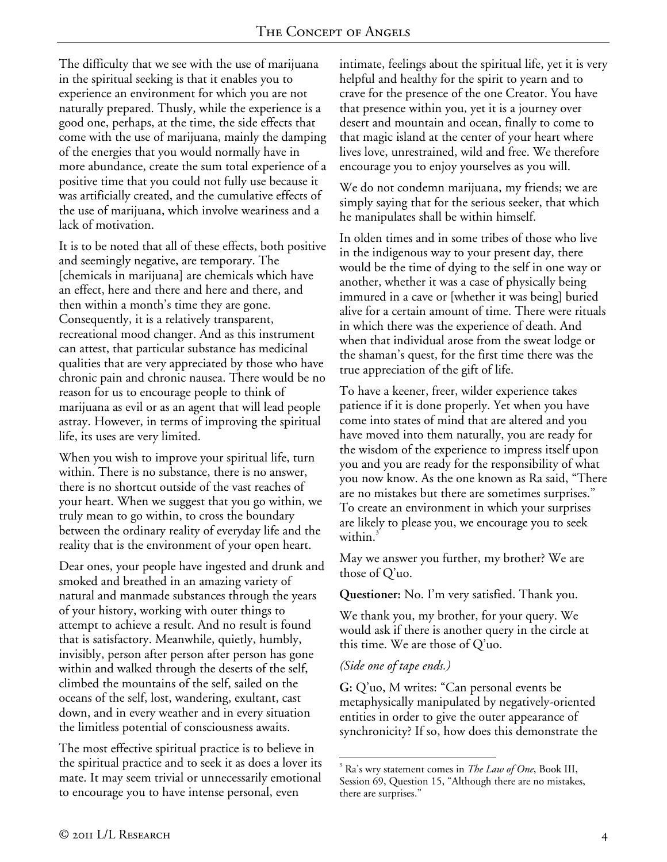The difficulty that we see with the use of marijuana in the spiritual seeking is that it enables you to experience an environment for which you are not naturally prepared. Thusly, while the experience is a good one, perhaps, at the time, the side effects that come with the use of marijuana, mainly the damping of the energies that you would normally have in more abundance, create the sum total experience of a positive time that you could not fully use because it was artificially created, and the cumulative effects of the use of marijuana, which involve weariness and a lack of motivation.

It is to be noted that all of these effects, both positive and seemingly negative, are temporary. The [chemicals in marijuana] are chemicals which have an effect, here and there and here and there, and then within a month's time they are gone. Consequently, it is a relatively transparent, recreational mood changer. And as this instrument can attest, that particular substance has medicinal qualities that are very appreciated by those who have chronic pain and chronic nausea. There would be no reason for us to encourage people to think of marijuana as evil or as an agent that will lead people astray. However, in terms of improving the spiritual life, its uses are very limited.

When you wish to improve your spiritual life, turn within. There is no substance, there is no answer, there is no shortcut outside of the vast reaches of your heart. When we suggest that you go within, we truly mean to go within, to cross the boundary between the ordinary reality of everyday life and the reality that is the environment of your open heart.

Dear ones, your people have ingested and drunk and smoked and breathed in an amazing variety of natural and manmade substances through the years of your history, working with outer things to attempt to achieve a result. And no result is found that is satisfactory. Meanwhile, quietly, humbly, invisibly, person after person after person has gone within and walked through the deserts of the self, climbed the mountains of the self, sailed on the oceans of the self, lost, wandering, exultant, cast down, and in every weather and in every situation the limitless potential of consciousness awaits.

The most effective spiritual practice is to believe in the spiritual practice and to seek it as does a lover its mate. It may seem trivial or unnecessarily emotional to encourage you to have intense personal, even

intimate, feelings about the spiritual life, yet it is very helpful and healthy for the spirit to yearn and to crave for the presence of the one Creator. You have that presence within you, yet it is a journey over desert and mountain and ocean, finally to come to that magic island at the center of your heart where lives love, unrestrained, wild and free. We therefore encourage you to enjoy yourselves as you will.

We do not condemn marijuana, my friends; we are simply saying that for the serious seeker, that which he manipulates shall be within himself.

In olden times and in some tribes of those who live in the indigenous way to your present day, there would be the time of dying to the self in one way or another, whether it was a case of physically being immured in a cave or [whether it was being] buried alive for a certain amount of time. There were rituals in which there was the experience of death. And when that individual arose from the sweat lodge or the shaman's quest, for the first time there was the true appreciation of the gift of life.

To have a keener, freer, wilder experience takes patience if it is done properly. Yet when you have come into states of mind that are altered and you have moved into them naturally, you are ready for the wisdom of the experience to impress itself upon you and you are ready for the responsibility of what you now know. As the one known as Ra said, "There are no mistakes but there are sometimes surprises." To create an environment in which your surprises are likely to please you, we encourage you to seek within.<sup>3</sup>

May we answer you further, my brother? We are those of Q'uo.

**Questioner:** No. I'm very satisfied. Thank you.

We thank you, my brother, for your query. We would ask if there is another query in the circle at this time. We are those of Q'uo.

### *(Side one of tape ends.)*

**G:** Q'uo, M writes: "Can personal events be metaphysically manipulated by negatively-oriented entities in order to give the outer appearance of synchronicity? If so, how does this demonstrate the

 $\overline{a}$ 3 Ra's wry statement comes in *The Law of One*, Book III, Session 69, Question 15, "Although there are no mistakes, there are surprises."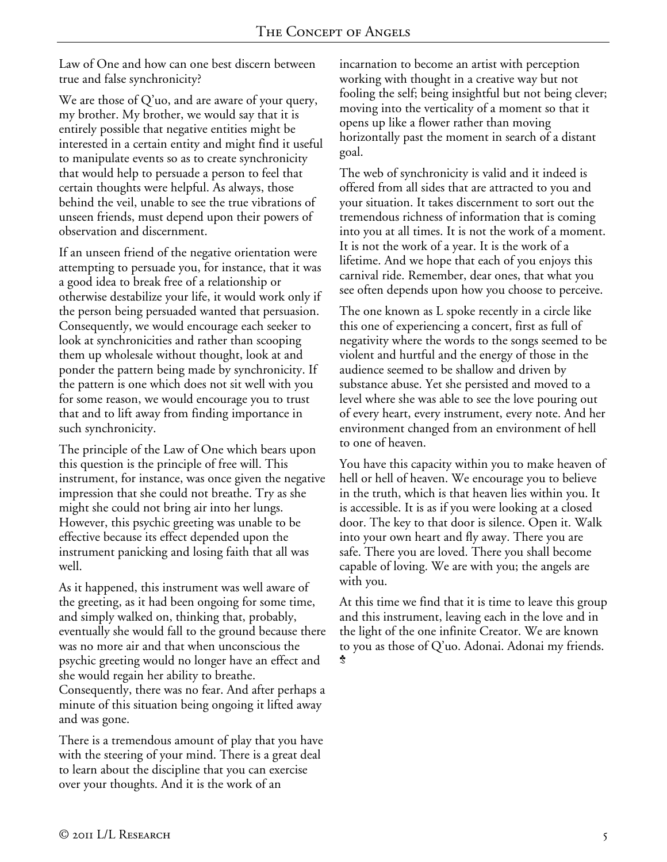Law of One and how can one best discern between true and false synchronicity?

We are those of Q'uo, and are aware of your query, my brother. My brother, we would say that it is entirely possible that negative entities might be interested in a certain entity and might find it useful to manipulate events so as to create synchronicity that would help to persuade a person to feel that certain thoughts were helpful. As always, those behind the veil, unable to see the true vibrations of unseen friends, must depend upon their powers of observation and discernment.

If an unseen friend of the negative orientation were attempting to persuade you, for instance, that it was a good idea to break free of a relationship or otherwise destabilize your life, it would work only if the person being persuaded wanted that persuasion. Consequently, we would encourage each seeker to look at synchronicities and rather than scooping them up wholesale without thought, look at and ponder the pattern being made by synchronicity. If the pattern is one which does not sit well with you for some reason, we would encourage you to trust that and to lift away from finding importance in such synchronicity.

The principle of the Law of One which bears upon this question is the principle of free will. This instrument, for instance, was once given the negative impression that she could not breathe. Try as she might she could not bring air into her lungs. However, this psychic greeting was unable to be effective because its effect depended upon the instrument panicking and losing faith that all was well.

As it happened, this instrument was well aware of the greeting, as it had been ongoing for some time, and simply walked on, thinking that, probably, eventually she would fall to the ground because there was no more air and that when unconscious the psychic greeting would no longer have an effect and she would regain her ability to breathe. Consequently, there was no fear. And after perhaps a minute of this situation being ongoing it lifted away and was gone.

There is a tremendous amount of play that you have with the steering of your mind. There is a great deal to learn about the discipline that you can exercise over your thoughts. And it is the work of an

incarnation to become an artist with perception working with thought in a creative way but not fooling the self; being insightful but not being clever; moving into the verticality of a moment so that it opens up like a flower rather than moving horizontally past the moment in search of a distant goal.

The web of synchronicity is valid and it indeed is offered from all sides that are attracted to you and your situation. It takes discernment to sort out the tremendous richness of information that is coming into you at all times. It is not the work of a moment. It is not the work of a year. It is the work of a lifetime. And we hope that each of you enjoys this carnival ride. Remember, dear ones, that what you see often depends upon how you choose to perceive.

The one known as L spoke recently in a circle like this one of experiencing a concert, first as full of negativity where the words to the songs seemed to be violent and hurtful and the energy of those in the audience seemed to be shallow and driven by substance abuse. Yet she persisted and moved to a level where she was able to see the love pouring out of every heart, every instrument, every note. And her environment changed from an environment of hell to one of heaven.

You have this capacity within you to make heaven of hell or hell of heaven. We encourage you to believe in the truth, which is that heaven lies within you. It is accessible. It is as if you were looking at a closed door. The key to that door is silence. Open it. Walk into your own heart and fly away. There you are safe. There you are loved. There you shall become capable of loving. We are with you; the angels are with you.

At this time we find that it is time to leave this group and this instrument, leaving each in the love and in the light of the one infinite Creator. We are known to you as those of Q'uo. Adonai. Adonai my friends.  $\ddot{\mathcal{Z}}$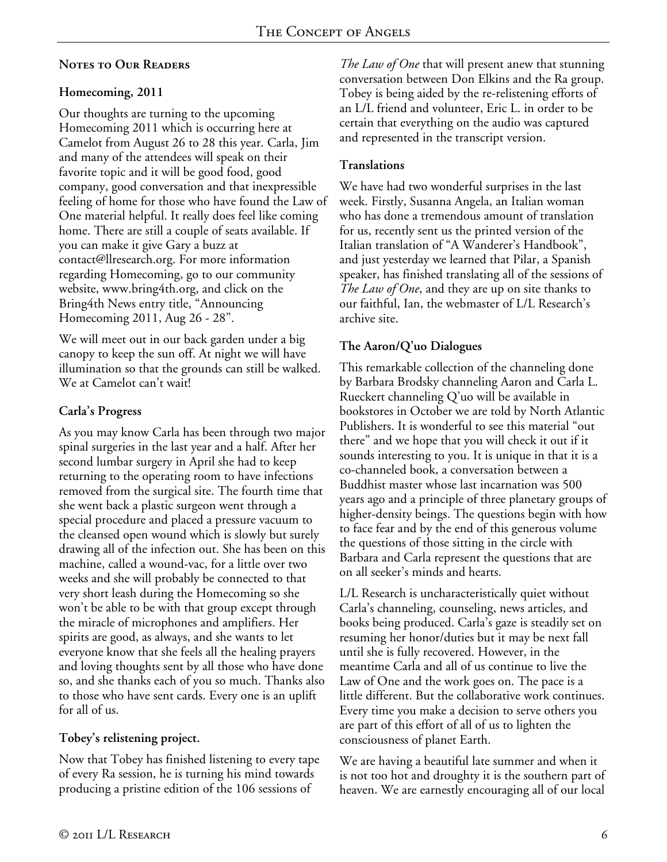## **Notes to Our Readers**

## **Homecoming, 2011**

Our thoughts are turning to the upcoming Homecoming 2011 which is occurring here at Camelot from August 26 to 28 this year. Carla, Jim and many of the attendees will speak on their favorite topic and it will be good food, good company, good conversation and that inexpressible feeling of home for those who have found the Law of One material helpful. It really does feel like coming home. There are still a couple of seats available. If you can make it give Gary a buzz at contact@llresearch.org. For more information regarding Homecoming, go to our community website, www.bring4th.org, and click on the Bring4th News entry title, "Announcing Homecoming 2011, Aug 26 - 28".

We will meet out in our back garden under a big canopy to keep the sun off. At night we will have illumination so that the grounds can still be walked. We at Camelot can't wait!

# **Carla's Progress**

As you may know Carla has been through two major spinal surgeries in the last year and a half. After her second lumbar surgery in April she had to keep returning to the operating room to have infections removed from the surgical site. The fourth time that she went back a plastic surgeon went through a special procedure and placed a pressure vacuum to the cleansed open wound which is slowly but surely drawing all of the infection out. She has been on this machine, called a wound-vac, for a little over two weeks and she will probably be connected to that very short leash during the Homecoming so she won't be able to be with that group except through the miracle of microphones and amplifiers. Her spirits are good, as always, and she wants to let everyone know that she feels all the healing prayers and loving thoughts sent by all those who have done so, and she thanks each of you so much. Thanks also to those who have sent cards. Every one is an uplift for all of us.

## **Tobey's relistening project.**

Now that Tobey has finished listening to every tape of every Ra session, he is turning his mind towards producing a pristine edition of the 106 sessions of

*The Law of One* that will present anew that stunning conversation between Don Elkins and the Ra group. Tobey is being aided by the re-relistening efforts of an L/L friend and volunteer, Eric L. in order to be certain that everything on the audio was captured and represented in the transcript version.

## **Translations**

We have had two wonderful surprises in the last week. Firstly, Susanna Angela, an Italian woman who has done a tremendous amount of translation for us, recently sent us the printed version of the Italian translation of "A Wanderer's Handbook", and just yesterday we learned that Pilar, a Spanish speaker, has finished translating all of the sessions of *The Law of One*, and they are up on site thanks to our faithful, Ian, the webmaster of L/L Research's archive site.

# **The Aaron/Q'uo Dialogues**

This remarkable collection of the channeling done by Barbara Brodsky channeling Aaron and Carla L. Rueckert channeling Q'uo will be available in bookstores in October we are told by North Atlantic Publishers. It is wonderful to see this material "out there" and we hope that you will check it out if it sounds interesting to you. It is unique in that it is a co-channeled book, a conversation between a Buddhist master whose last incarnation was 500 years ago and a principle of three planetary groups of higher-density beings. The questions begin with how to face fear and by the end of this generous volume the questions of those sitting in the circle with Barbara and Carla represent the questions that are on all seeker's minds and hearts.

L/L Research is uncharacteristically quiet without Carla's channeling, counseling, news articles, and books being produced. Carla's gaze is steadily set on resuming her honor/duties but it may be next fall until she is fully recovered. However, in the meantime Carla and all of us continue to live the Law of One and the work goes on. The pace is a little different. But the collaborative work continues. Every time you make a decision to serve others you are part of this effort of all of us to lighten the consciousness of planet Earth.

We are having a beautiful late summer and when it is not too hot and droughty it is the southern part of heaven. We are earnestly encouraging all of our local